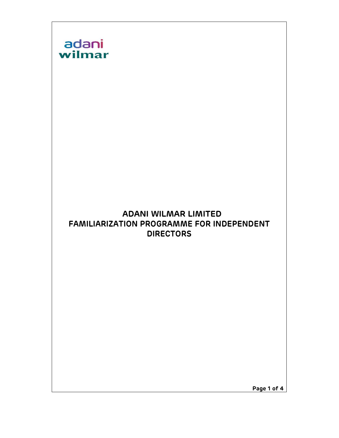

Page 1 of 4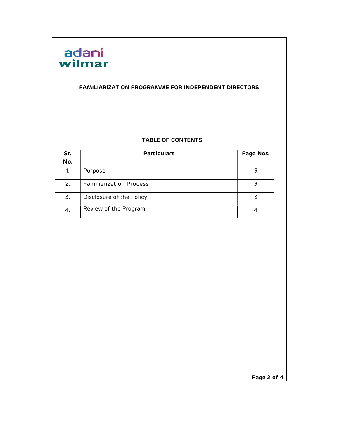

#### FAMILIARIZATION PROGRAMME FOR INDEPENDENT DIRECTORS

#### TABLE OF CONTENTS

| Sr.<br>No. | <b>Particulars</b>             | Page Nos. |  |
|------------|--------------------------------|-----------|--|
| 1.         | Purpose                        |           |  |
| 2.         | <b>Familiarization Process</b> |           |  |
| 3.         | Disclosure of the Policy       |           |  |
| 4.         | Review of the Program          |           |  |

Page 2 of 4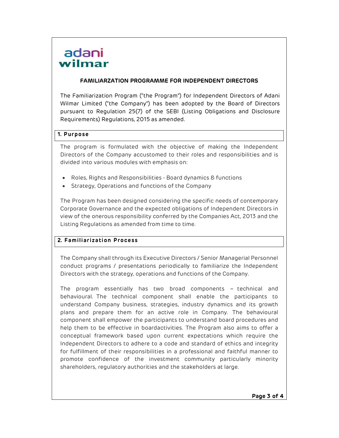# adani wilmar

#### FAMILIARZATION PROGRAMME FOR INDEPENDENT DIRECTORS

The Familiarization Program ("the Program") for Independent Directors of Adani Wilmar Limited ("the Company") has been adopted by the Board of Directors pursuant to Regulation 25(7) of the SEBI (Listing Obligations and Disclosure Requirements) Regulations, 2015 as amended.

## 1. Purpose

The program is formulated with the objective of making the Independent Directors of the Company accustomed to their roles and responsibilities and is divided into various modules with emphasis on:

- Roles, Rights and Responsibilities Board dynamics & functions
- Strategy, Operations and functions of the Company

The Program has been designed considering the specific needs of contemporary Corporate Governance and the expected obligations of Independent Directors in view of the onerous responsibility conferred by the Companies Act, 2013 and the Listing Regulations as amended from time to time.

## 2. Familiarization Process

The Company shall through its Executive Directors / Senior Managerial Personnel conduct programs / presentations periodically to familiarize the Independent Directors with the strategy, operations and functions of the Company.

The program essentially has two broad components – technical and behavioural. The technical component shall enable the participants to understand Company business, strategies, industry dynamics and its growth plans and prepare them for an active role in Company. The behavioural component shall empower the participants to understand board procedures and help them to be effective in boardactivities. The Program also aims to offer a conceptual framework based upon current expectations which require the Independent Directors to adhere to a code and standard of ethics and integrity for fulfillment of their responsibilities in a professional and faithful manner to promote confidence of the investment community particularly minority shareholders, regulatory authorities and the stakeholders at large.